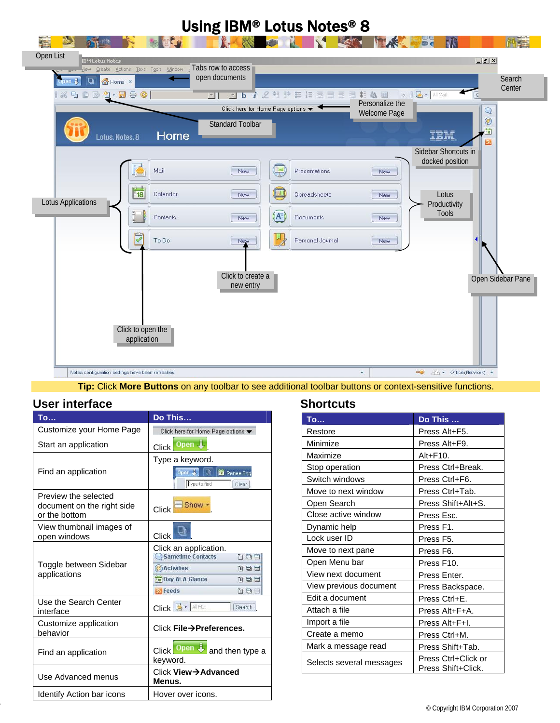

**Tip:** Click **More Buttons** on any toolbar to see additional toolbar buttons or context-sensitive functions.

### **User interface**

| To                                          | Do This                                                  |
|---------------------------------------------|----------------------------------------------------------|
| Customize your Home Page                    | Click here for Home Page options                         |
| Start an application                        | Open +<br>Click                                          |
| Find an application                         | Type a keyword.                                          |
|                                             | Open 見<br><b>Q</b> 施 Renee Eng<br>Type to find<br>Clear  |
| Preview the selected                        |                                                          |
| document on the right side<br>or the bottom | Show -<br>Click                                          |
| View thumbnail images of                    |                                                          |
| open windows                                | <b>Click</b>                                             |
| Toggle between Sidebar<br>applications      | Click an application.<br><b>Sametime Contacts</b><br>百日三 |
|                                             | <b>Activities</b><br>TEF                                 |
|                                             | <sup>18</sup> Day-At-A-Glance<br>百日目                     |
|                                             | <b>Sylfeeds</b><br>百日二                                   |
| Use the Search Center<br>interface          | Click <b>&amp; - All Mail</b><br><b>Search</b>           |
| Customize application<br>behavior           | Click File→Preferences.                                  |
| Find an application                         | Open $\ddot{\bullet}$<br>Click  <br>and then type a      |
|                                             | keyword.                                                 |
| Use Advanced menus                          | Click View→Advanced<br>Menus.                            |
| Identify Action bar icons                   | Hover over icons.                                        |

### **Shortcuts**

| <b>To</b>                | Do This                                   |
|--------------------------|-------------------------------------------|
| Restore                  | Press Alt+F5.                             |
| Minimize                 | Press Alt+F9.                             |
| Maximize                 | $Alt + F10.$                              |
| Stop operation           | Press Ctrl+Break.                         |
| Switch windows           | Press Ctrl+F6.                            |
| Move to next window      | Press Ctrl+Tab.                           |
| Open Search              | Press Shift+Alt+S.                        |
| Close active window      | Press Esc.                                |
| Dynamic help             | Press F1.                                 |
| Lock user ID             | Press F5.                                 |
| Move to next pane        | Press F6.                                 |
| Open Menu bar            | Press F10.                                |
| View next document       | Press Enter.                              |
| View previous document   | Press Backspace.                          |
| Edit a document          | Press Ctrl+E.                             |
| Attach a file            | Press Alt+F+A.                            |
| Import a file            | Press Alt+F+I.                            |
| Create a memo            | Press Ctrl+M.                             |
| Mark a message read      | Press Shift+Tab.                          |
| Selects several messages | Press Ctrl+Click or<br>Press Shift+Click. |